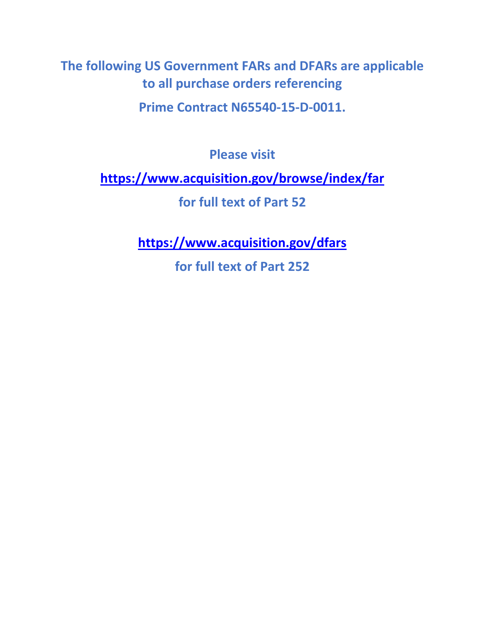**The following US Government FARs and DFARs are applicable to all purchase orders referencing**

**Prime Contract N65540-15-D-0011.**

**Please visit**

**<https://www.acquisition.gov/browse/index/far>**

**for full text of Part 52**

**<https://www.acquisition.gov/dfars>**

**for full text of Part 252**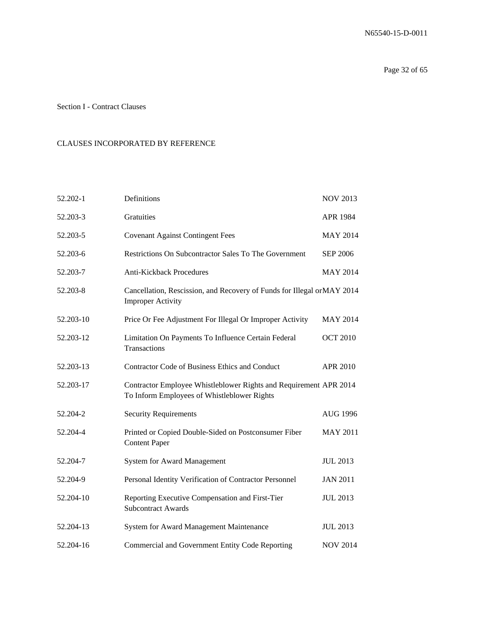### Section I - Contract Clauses

#### CLAUSES INCORPORATED BY REFERENCE

| 52.202-1  | Definitions                                                                                                      | <b>NOV 2013</b> |
|-----------|------------------------------------------------------------------------------------------------------------------|-----------------|
| 52.203-3  | Gratuities                                                                                                       | APR 1984        |
| 52.203-5  | <b>Covenant Against Contingent Fees</b>                                                                          | <b>MAY 2014</b> |
| 52.203-6  | Restrictions On Subcontractor Sales To The Government                                                            | <b>SEP 2006</b> |
| 52.203-7  | <b>Anti-Kickback Procedures</b>                                                                                  | <b>MAY 2014</b> |
| 52.203-8  | Cancellation, Rescission, and Recovery of Funds for Illegal orMAY 2014<br><b>Improper Activity</b>               |                 |
| 52.203-10 | Price Or Fee Adjustment For Illegal Or Improper Activity                                                         | <b>MAY 2014</b> |
| 52.203-12 | Limitation On Payments To Influence Certain Federal<br>Transactions                                              | <b>OCT 2010</b> |
| 52.203-13 | <b>Contractor Code of Business Ethics and Conduct</b>                                                            | APR 2010        |
| 52.203-17 | Contractor Employee Whistleblower Rights and Requirement APR 2014<br>To Inform Employees of Whistleblower Rights |                 |
| 52.204-2  | <b>Security Requirements</b>                                                                                     | AUG 1996        |
| 52.204-4  | Printed or Copied Double-Sided on Postconsumer Fiber<br><b>Content Paper</b>                                     | <b>MAY 2011</b> |
| 52.204-7  | <b>System for Award Management</b>                                                                               | <b>JUL 2013</b> |
| 52.204-9  | Personal Identity Verification of Contractor Personnel                                                           | <b>JAN 2011</b> |
| 52.204-10 | Reporting Executive Compensation and First-Tier<br><b>Subcontract Awards</b>                                     | <b>JUL 2013</b> |
| 52.204-13 | System for Award Management Maintenance                                                                          | <b>JUL 2013</b> |
| 52.204-16 | Commercial and Government Entity Code Reporting                                                                  | <b>NOV 2014</b> |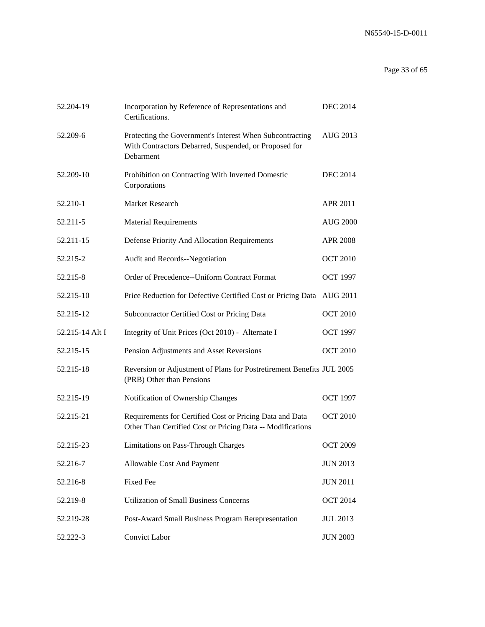# Page 33 of 65

| 52.204-19       | Incorporation by Reference of Representations and<br>Certifications.                                                           | <b>DEC 2014</b> |
|-----------------|--------------------------------------------------------------------------------------------------------------------------------|-----------------|
| 52.209-6        | Protecting the Government's Interest When Subcontracting<br>With Contractors Debarred, Suspended, or Proposed for<br>Debarment | AUG 2013        |
| 52.209-10       | Prohibition on Contracting With Inverted Domestic<br>Corporations                                                              | <b>DEC 2014</b> |
| 52.210-1        | Market Research                                                                                                                | APR 2011        |
| 52.211-5        | <b>Material Requirements</b>                                                                                                   | <b>AUG 2000</b> |
| 52.211-15       | Defense Priority And Allocation Requirements                                                                                   | <b>APR 2008</b> |
| 52.215-2        | Audit and Records--Negotiation                                                                                                 | <b>OCT 2010</b> |
| 52.215-8        | Order of Precedence--Uniform Contract Format                                                                                   | <b>OCT 1997</b> |
| 52.215-10       | Price Reduction for Defective Certified Cost or Pricing Data AUG 2011                                                          |                 |
| 52.215-12       | Subcontractor Certified Cost or Pricing Data                                                                                   | <b>OCT 2010</b> |
| 52.215-14 Alt I | Integrity of Unit Prices (Oct 2010) - Alternate I                                                                              | <b>OCT 1997</b> |
| 52.215-15       | Pension Adjustments and Asset Reversions                                                                                       | <b>OCT 2010</b> |
| 52.215-18       | Reversion or Adjustment of Plans for Postretirement Benefits JUL 2005<br>(PRB) Other than Pensions                             |                 |
| 52.215-19       | Notification of Ownership Changes                                                                                              | <b>OCT 1997</b> |
| 52.215-21       | Requirements for Certified Cost or Pricing Data and Data<br>Other Than Certified Cost or Pricing Data -- Modifications         | <b>OCT 2010</b> |
| 52.215-23       | Limitations on Pass-Through Charges                                                                                            | <b>OCT 2009</b> |
| 52.216-7        | Allowable Cost And Payment                                                                                                     | <b>JUN 2013</b> |
| 52.216-8        | <b>Fixed Fee</b>                                                                                                               | <b>JUN 2011</b> |
| 52.219-8        | <b>Utilization of Small Business Concerns</b>                                                                                  | <b>OCT 2014</b> |
| 52.219-28       | Post-Award Small Business Program Rerepresentation                                                                             | <b>JUL 2013</b> |
| 52.222-3        | Convict Labor                                                                                                                  | <b>JUN 2003</b> |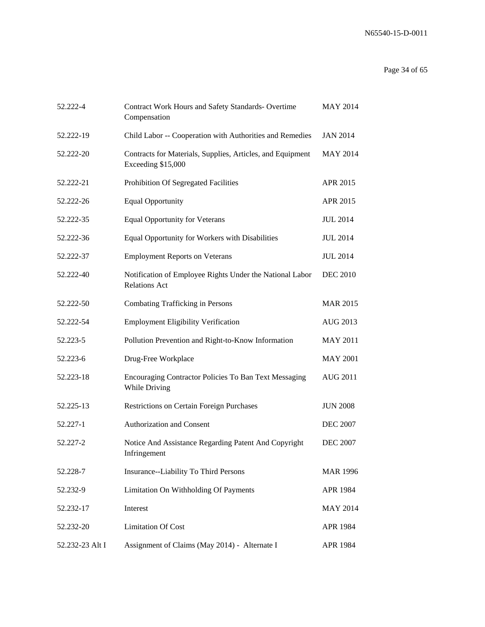# Page 34 of 65

| 52.222-4        | <b>Contract Work Hours and Safety Standards- Overtime</b><br>Compensation        | <b>MAY 2014</b> |
|-----------------|----------------------------------------------------------------------------------|-----------------|
| 52.222-19       | Child Labor -- Cooperation with Authorities and Remedies                         | <b>JAN 2014</b> |
| 52.222-20       | Contracts for Materials, Supplies, Articles, and Equipment<br>Exceeding \$15,000 | <b>MAY 2014</b> |
| 52.222-21       | Prohibition Of Segregated Facilities                                             | APR 2015        |
| 52.222-26       | <b>Equal Opportunity</b>                                                         | APR 2015        |
| 52.222-35       | <b>Equal Opportunity for Veterans</b>                                            | <b>JUL 2014</b> |
| 52.222-36       | Equal Opportunity for Workers with Disabilities                                  | <b>JUL 2014</b> |
| 52.222-37       | <b>Employment Reports on Veterans</b>                                            | <b>JUL 2014</b> |
| 52.222-40       | Notification of Employee Rights Under the National Labor<br><b>Relations Act</b> | <b>DEC 2010</b> |
| 52.222-50       | Combating Trafficking in Persons                                                 | <b>MAR 2015</b> |
| 52.222-54       | <b>Employment Eligibility Verification</b>                                       | AUG 2013        |
| 52.223-5        | Pollution Prevention and Right-to-Know Information                               | <b>MAY 2011</b> |
| 52.223-6        | Drug-Free Workplace                                                              | <b>MAY 2001</b> |
| 52.223-18       | <b>Encouraging Contractor Policies To Ban Text Messaging</b><br>While Driving    | <b>AUG 2011</b> |
| 52.225-13       | <b>Restrictions on Certain Foreign Purchases</b>                                 | <b>JUN 2008</b> |
| 52.227-1        | Authorization and Consent                                                        | <b>DEC 2007</b> |
| 52.227-2        | Notice And Assistance Regarding Patent And Copyright<br>Infringement             | <b>DEC 2007</b> |
| 52.228-7        | Insurance--Liability To Third Persons                                            | <b>MAR 1996</b> |
| 52.232-9        | Limitation On Withholding Of Payments                                            | APR 1984        |
| 52.232-17       | Interest                                                                         | <b>MAY 2014</b> |
| 52.232-20       | <b>Limitation Of Cost</b>                                                        | APR 1984        |
| 52.232-23 Alt I | Assignment of Claims (May 2014) - Alternate I                                    | APR 1984        |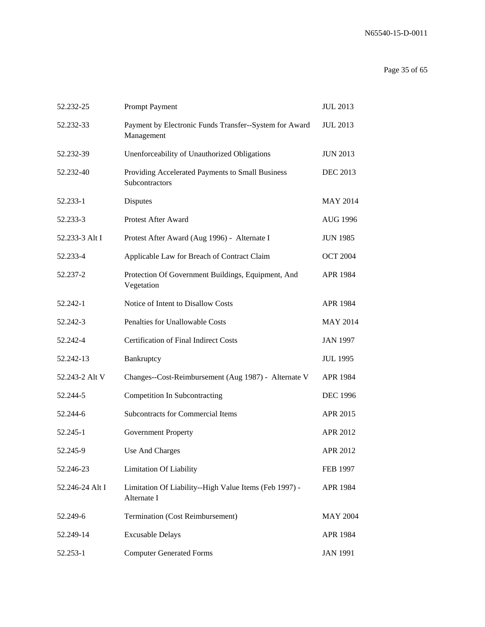# Page 35 of 65

| 52.232-25       | Prompt Payment                                                        | <b>JUL 2013</b> |
|-----------------|-----------------------------------------------------------------------|-----------------|
| 52.232-33       | Payment by Electronic Funds Transfer--System for Award<br>Management  | <b>JUL 2013</b> |
| 52.232-39       | Unenforceability of Unauthorized Obligations                          | <b>JUN 2013</b> |
| 52.232-40       | Providing Accelerated Payments to Small Business<br>Subcontractors    | <b>DEC 2013</b> |
| 52.233-1        | Disputes                                                              | <b>MAY 2014</b> |
| 52.233-3        | Protest After Award                                                   | <b>AUG 1996</b> |
| 52.233-3 Alt I  | Protest After Award (Aug 1996) - Alternate I                          | <b>JUN 1985</b> |
| 52.233-4        | Applicable Law for Breach of Contract Claim                           | <b>OCT 2004</b> |
| 52.237-2        | Protection Of Government Buildings, Equipment, And<br>Vegetation      | APR 1984        |
| 52.242-1        | Notice of Intent to Disallow Costs                                    | APR 1984        |
| 52.242-3        | Penalties for Unallowable Costs                                       | <b>MAY 2014</b> |
| 52.242-4        | <b>Certification of Final Indirect Costs</b>                          | <b>JAN 1997</b> |
| 52.242-13       | Bankruptcy                                                            | <b>JUL 1995</b> |
| 52.243-2 Alt V  | Changes--Cost-Reimbursement (Aug 1987) - Alternate V                  | APR 1984        |
| 52.244-5        | Competition In Subcontracting                                         | <b>DEC 1996</b> |
| 52.244-6        | <b>Subcontracts for Commercial Items</b>                              | APR 2015        |
| 52.245-1        | <b>Government Property</b>                                            | APR 2012        |
| 52.245-9        | Use And Charges                                                       | APR 2012        |
| 52.246-23       | <b>Limitation Of Liability</b>                                        | <b>FEB 1997</b> |
| 52.246-24 Alt I | Limitation Of Liability--High Value Items (Feb 1997) -<br>Alternate I | APR 1984        |
| 52.249-6        | <b>Termination (Cost Reimbursement)</b>                               | <b>MAY 2004</b> |
| 52.249-14       | <b>Excusable Delays</b>                                               | APR 1984        |
| 52.253-1        | <b>Computer Generated Forms</b>                                       | <b>JAN 1991</b> |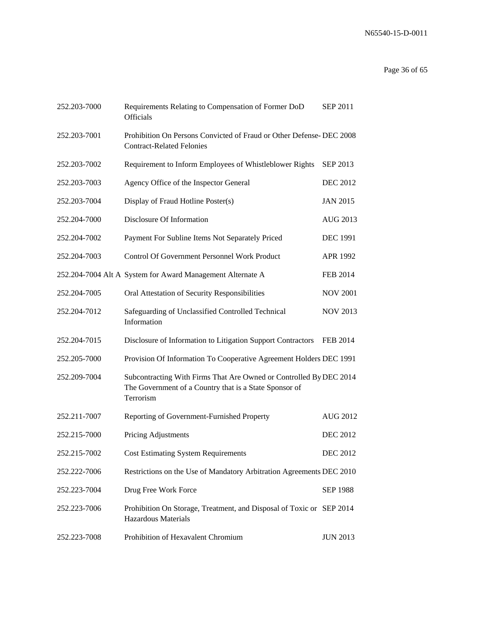# Page 36 of 65

| 252.203-7000 | Requirements Relating to Compensation of Former DoD<br>Officials                                                                          | <b>SEP 2011</b> |
|--------------|-------------------------------------------------------------------------------------------------------------------------------------------|-----------------|
| 252.203-7001 | Prohibition On Persons Convicted of Fraud or Other Defense- DEC 2008<br><b>Contract-Related Felonies</b>                                  |                 |
| 252.203-7002 | Requirement to Inform Employees of Whistleblower Rights                                                                                   | SEP 2013        |
| 252.203-7003 | Agency Office of the Inspector General                                                                                                    | <b>DEC 2012</b> |
| 252.203-7004 | Display of Fraud Hotline Poster(s)                                                                                                        | <b>JAN 2015</b> |
| 252.204-7000 | Disclosure Of Information                                                                                                                 | AUG 2013        |
| 252.204-7002 | Payment For Subline Items Not Separately Priced                                                                                           | <b>DEC 1991</b> |
| 252.204-7003 | Control Of Government Personnel Work Product                                                                                              | APR 1992        |
|              | 252.204-7004 Alt A System for Award Management Alternate A                                                                                | <b>FEB 2014</b> |
| 252.204-7005 | Oral Attestation of Security Responsibilities                                                                                             | <b>NOV 2001</b> |
| 252.204-7012 | Safeguarding of Unclassified Controlled Technical<br>Information                                                                          | <b>NOV 2013</b> |
| 252.204-7015 | Disclosure of Information to Litigation Support Contractors                                                                               | <b>FEB 2014</b> |
| 252.205-7000 | Provision Of Information To Cooperative Agreement Holders DEC 1991                                                                        |                 |
| 252.209-7004 | Subcontracting With Firms That Are Owned or Controlled By DEC 2014<br>The Government of a Country that is a State Sponsor of<br>Terrorism |                 |
| 252.211-7007 | Reporting of Government-Furnished Property                                                                                                | <b>AUG 2012</b> |
| 252.215-7000 | Pricing Adjustments                                                                                                                       | <b>DEC 2012</b> |
| 252.215-7002 | <b>Cost Estimating System Requirements</b>                                                                                                | <b>DEC 2012</b> |
| 252.222-7006 | Restrictions on the Use of Mandatory Arbitration Agreements DEC 2010                                                                      |                 |
| 252.223-7004 | Drug Free Work Force                                                                                                                      | <b>SEP 1988</b> |
| 252.223-7006 | Prohibition On Storage, Treatment, and Disposal of Toxic or SEP 2014<br><b>Hazardous Materials</b>                                        |                 |
| 252.223-7008 | Prohibition of Hexavalent Chromium                                                                                                        | <b>JUN 2013</b> |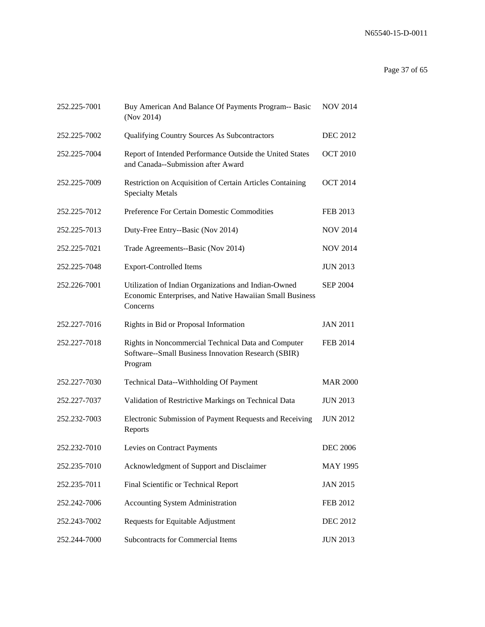# Page 37 of 65

| 252.225-7001 | Buy American And Balance Of Payments Program-- Basic<br>(Nov 2014)                                                           | <b>NOV 2014</b> |
|--------------|------------------------------------------------------------------------------------------------------------------------------|-----------------|
| 252.225-7002 | Qualifying Country Sources As Subcontractors                                                                                 | <b>DEC 2012</b> |
| 252.225-7004 | Report of Intended Performance Outside the United States<br>and Canada--Submission after Award                               | <b>OCT 2010</b> |
| 252.225-7009 | Restriction on Acquisition of Certain Articles Containing<br><b>Specialty Metals</b>                                         | <b>OCT 2014</b> |
| 252.225-7012 | Preference For Certain Domestic Commodities                                                                                  | <b>FEB 2013</b> |
| 252.225-7013 | Duty-Free Entry--Basic (Nov 2014)                                                                                            | <b>NOV 2014</b> |
| 252.225-7021 | Trade Agreements--Basic (Nov 2014)                                                                                           | <b>NOV 2014</b> |
| 252.225-7048 | <b>Export-Controlled Items</b>                                                                                               | <b>JUN 2013</b> |
| 252.226-7001 | Utilization of Indian Organizations and Indian-Owned<br>Economic Enterprises, and Native Hawaiian Small Business<br>Concerns | <b>SEP 2004</b> |
| 252.227-7016 | Rights in Bid or Proposal Information                                                                                        | <b>JAN 2011</b> |
| 252.227-7018 | Rights in Noncommercial Technical Data and Computer<br>Software--Small Business Innovation Research (SBIR)<br>Program        | <b>FEB 2014</b> |
| 252.227-7030 | Technical Data--Withholding Of Payment                                                                                       | <b>MAR 2000</b> |
| 252.227-7037 | Validation of Restrictive Markings on Technical Data                                                                         | <b>JUN 2013</b> |
| 252.232-7003 | Electronic Submission of Payment Requests and Receiving<br>Reports                                                           | <b>JUN 2012</b> |
| 252.232-7010 | Levies on Contract Payments                                                                                                  | <b>DEC 2006</b> |
| 252.235-7010 | Acknowledgment of Support and Disclaimer                                                                                     | <b>MAY 1995</b> |
| 252.235-7011 | Final Scientific or Technical Report                                                                                         | <b>JAN 2015</b> |
| 252.242-7006 | <b>Accounting System Administration</b>                                                                                      | <b>FEB 2012</b> |
| 252.243-7002 | Requests for Equitable Adjustment                                                                                            | <b>DEC 2012</b> |
| 252.244-7000 | <b>Subcontracts for Commercial Items</b>                                                                                     | <b>JUN 2013</b> |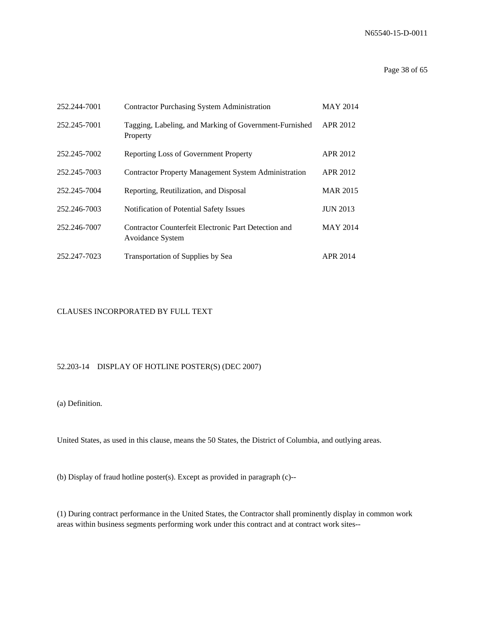#### Page 38 of 65

| 252.244-7001 | <b>Contractor Purchasing System Administration</b>                       | <b>MAY 2014</b> |
|--------------|--------------------------------------------------------------------------|-----------------|
| 252.245-7001 | Tagging, Labeling, and Marking of Government-Furnished<br>Property       | APR 2012        |
| 252.245-7002 | Reporting Loss of Government Property                                    | <b>APR 2012</b> |
| 252.245-7003 | <b>Contractor Property Management System Administration</b>              | APR 2012        |
| 252.245-7004 | Reporting, Reutilization, and Disposal                                   | <b>MAR 2015</b> |
| 252.246-7003 | Notification of Potential Safety Issues                                  | <b>JUN 2013</b> |
| 252.246-7007 | Contractor Counterfeit Electronic Part Detection and<br>Avoidance System | <b>MAY 2014</b> |
| 252.247-7023 | Transportation of Supplies by Sea                                        | APR 2014        |

#### CLAUSES INCORPORATED BY FULL TEXT

### 52.203-14 DISPLAY OF HOTLINE POSTER(S) (DEC 2007)

#### (a) Definition.

United States, as used in this clause, means the 50 States, the District of Columbia, and outlying areas.

(b) Display of fraud hotline poster(s). Except as provided in paragraph (c)--

(1) During contract performance in the United States, the Contractor shall prominently display in common work areas within business segments performing work under this contract and at contract work sites--